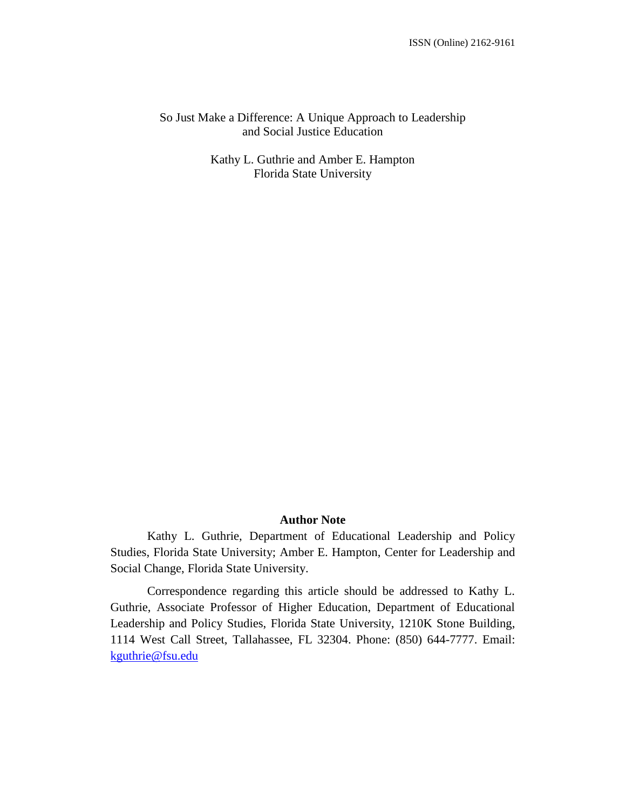## So Just Make a Difference: A Unique Approach to Leadership and Social Justice Education

Kathy L. Guthrie and Amber E. Hampton Florida State University

# **Author Note**

Kathy L. Guthrie, Department of Educational Leadership and Policy Studies, Florida State University; Amber E. Hampton, Center for Leadership and Social Change, Florida State University.

Correspondence regarding this article should be addressed to Kathy L. Guthrie, Associate Professor of Higher Education, Department of Educational Leadership and Policy Studies, Florida State University, 1210K Stone Building, 1114 West Call Street, Tallahassee, FL 32304. Phone: (850) 644-7777. Email: [kguthrie@fsu.edu](mailto:kguthrie@fsu.edu)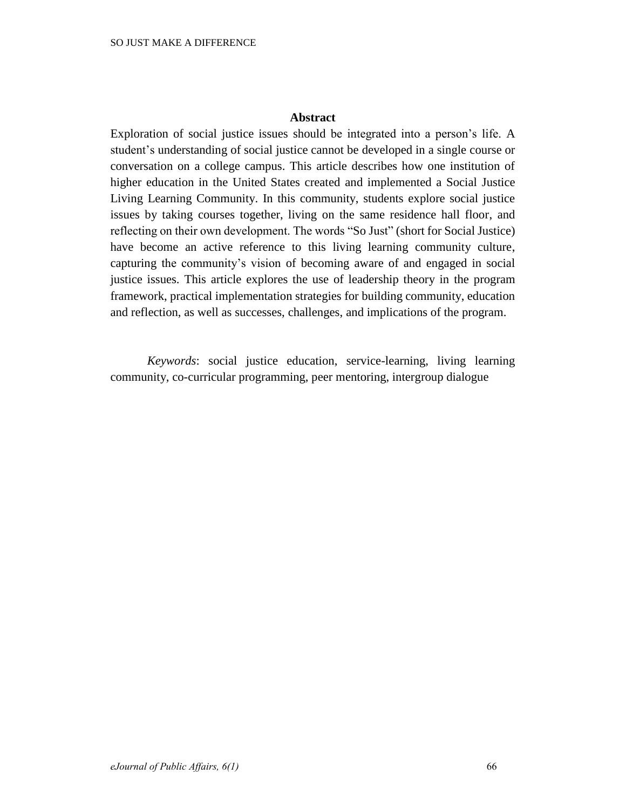# **Abstract**

Exploration of social justice issues should be integrated into a person's life. A student's understanding of social justice cannot be developed in a single course or conversation on a college campus. This article describes how one institution of higher education in the United States created and implemented a Social Justice Living Learning Community. In this community, students explore social justice issues by taking courses together, living on the same residence hall floor, and reflecting on their own development. The words "So Just" (short for Social Justice) have become an active reference to this living learning community culture, capturing the community's vision of becoming aware of and engaged in social justice issues. This article explores the use of leadership theory in the program framework, practical implementation strategies for building community, education and reflection, as well as successes, challenges, and implications of the program.

*Keywords*: social justice education, service-learning, living learning community, co-curricular programming, peer mentoring, intergroup dialogue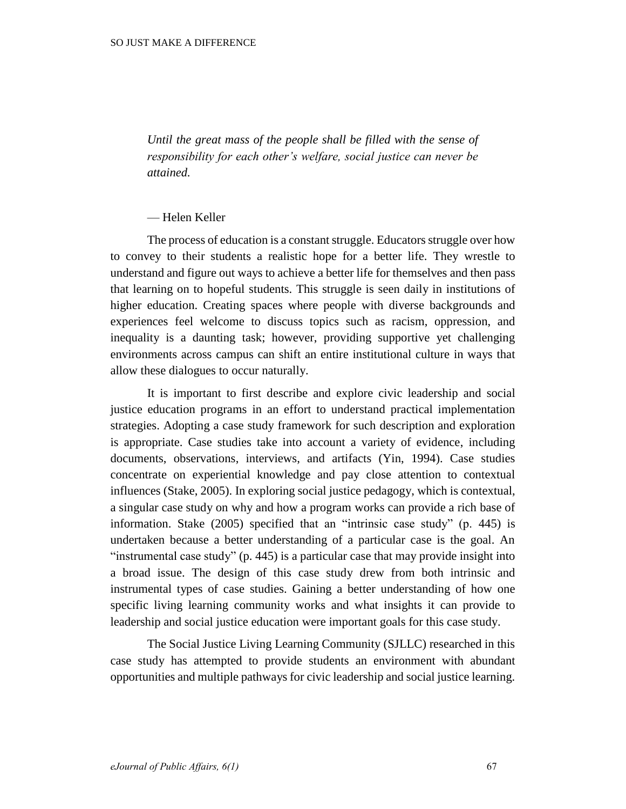*Until the great mass of the people shall be filled with the sense of responsibility for each other's welfare, social justice can never be attained.*

### — Helen Keller

The process of education is a constant struggle. Educators struggle over how to convey to their students a realistic hope for a better life. They wrestle to understand and figure out ways to achieve a better life for themselves and then pass that learning on to hopeful students. This struggle is seen daily in institutions of higher education. Creating spaces where people with diverse backgrounds and experiences feel welcome to discuss topics such as racism, oppression, and inequality is a daunting task; however, providing supportive yet challenging environments across campus can shift an entire institutional culture in ways that allow these dialogues to occur naturally.

It is important to first describe and explore civic leadership and social justice education programs in an effort to understand practical implementation strategies. Adopting a case study framework for such description and exploration is appropriate. Case studies take into account a variety of evidence, including documents, observations, interviews, and artifacts (Yin, 1994). Case studies concentrate on experiential knowledge and pay close attention to contextual influences (Stake, 2005). In exploring social justice pedagogy, which is contextual, a singular case study on why and how a program works can provide a rich base of information. Stake (2005) specified that an "intrinsic case study" (p. 445) is undertaken because a better understanding of a particular case is the goal. An "instrumental case study" (p. 445) is a particular case that may provide insight into a broad issue. The design of this case study drew from both intrinsic and instrumental types of case studies. Gaining a better understanding of how one specific living learning community works and what insights it can provide to leadership and social justice education were important goals for this case study.

The Social Justice Living Learning Community (SJLLC) researched in this case study has attempted to provide students an environment with abundant opportunities and multiple pathways for civic leadership and social justice learning.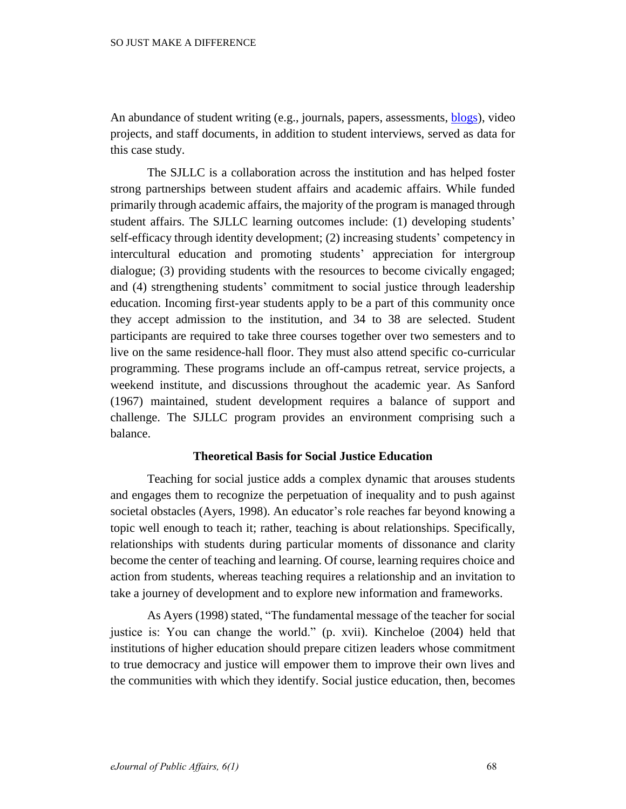An abundance of student writing (e.g., journals, papers, assessments, **blogs**), video projects, and staff documents, in addition to student interviews, served as data for this case study.

The SJLLC is a collaboration across the institution and has helped foster strong partnerships between student affairs and academic affairs. While funded primarily through academic affairs, the majority of the program is managed through student affairs. The SJLLC learning outcomes include: (1) developing students' self-efficacy through identity development; (2) increasing students' competency in intercultural education and promoting students' appreciation for intergroup dialogue; (3) providing students with the resources to become civically engaged; and (4) strengthening students' commitment to social justice through leadership education. Incoming first-year students apply to be a part of this community once they accept admission to the institution, and 34 to 38 are selected. Student participants are required to take three courses together over two semesters and to live on the same residence-hall floor. They must also attend specific co-curricular programming. These programs include an off-campus retreat, service projects, a weekend institute, and discussions throughout the academic year. As Sanford (1967) maintained, student development requires a balance of support and challenge. The SJLLC program provides an environment comprising such a balance.

## **Theoretical Basis for Social Justice Education**

Teaching for social justice adds a complex dynamic that arouses students and engages them to recognize the perpetuation of inequality and to push against societal obstacles (Ayers, 1998). An educator's role reaches far beyond knowing a topic well enough to teach it; rather, teaching is about relationships. Specifically, relationships with students during particular moments of dissonance and clarity become the center of teaching and learning. Of course, learning requires choice and action from students, whereas teaching requires a relationship and an invitation to take a journey of development and to explore new information and frameworks.

As Ayers (1998) stated, "The fundamental message of the teacher for social justice is: You can change the world." (p. xvii). Kincheloe (2004) held that institutions of higher education should prepare citizen leaders whose commitment to true democracy and justice will empower them to improve their own lives and the communities with which they identify. Social justice education, then, becomes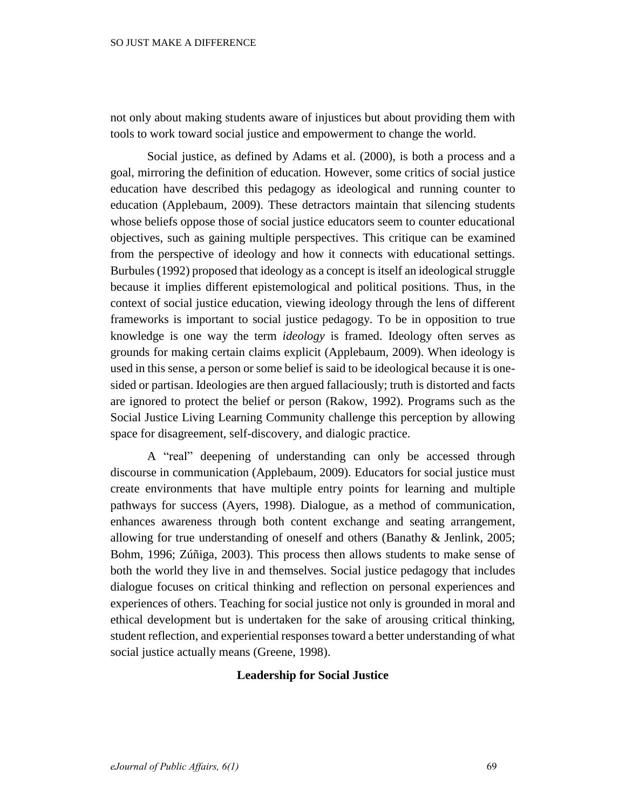not only about making students aware of injustices but about providing them with tools to work toward social justice and empowerment to change the world.

Social justice, as defined by Adams et al. (2000), is both a process and a goal, mirroring the definition of education. However, some critics of social justice education have described this pedagogy as ideological and running counter to education (Applebaum, 2009). These detractors maintain that silencing students whose beliefs oppose those of social justice educators seem to counter educational objectives, such as gaining multiple perspectives. This critique can be examined from the perspective of ideology and how it connects with educational settings. Burbules (1992) proposed that ideology as a concept is itself an ideological struggle because it implies different epistemological and political positions. Thus, in the context of social justice education, viewing ideology through the lens of different frameworks is important to social justice pedagogy. To be in opposition to true knowledge is one way the term *ideology* is framed. Ideology often serves as grounds for making certain claims explicit (Applebaum, 2009). When ideology is used in this sense, a person or some belief is said to be ideological because it is onesided or partisan. Ideologies are then argued fallaciously; truth is distorted and facts are ignored to protect the belief or person (Rakow, 1992). Programs such as the Social Justice Living Learning Community challenge this perception by allowing space for disagreement, self-discovery, and dialogic practice.

A "real" deepening of understanding can only be accessed through discourse in communication (Applebaum, 2009). Educators for social justice must create environments that have multiple entry points for learning and multiple pathways for success (Ayers, 1998). Dialogue, as a method of communication, enhances awareness through both content exchange and seating arrangement, allowing for true understanding of oneself and others (Banathy & Jenlink, 2005; Bohm, 1996; Zúñiga, 2003). This process then allows students to make sense of both the world they live in and themselves. Social justice pedagogy that includes dialogue focuses on critical thinking and reflection on personal experiences and experiences of others. Teaching for social justice not only is grounded in moral and ethical development but is undertaken for the sake of arousing critical thinking, student reflection, and experiential responses toward a better understanding of what social justice actually means (Greene, 1998).

# **Leadership for Social Justice**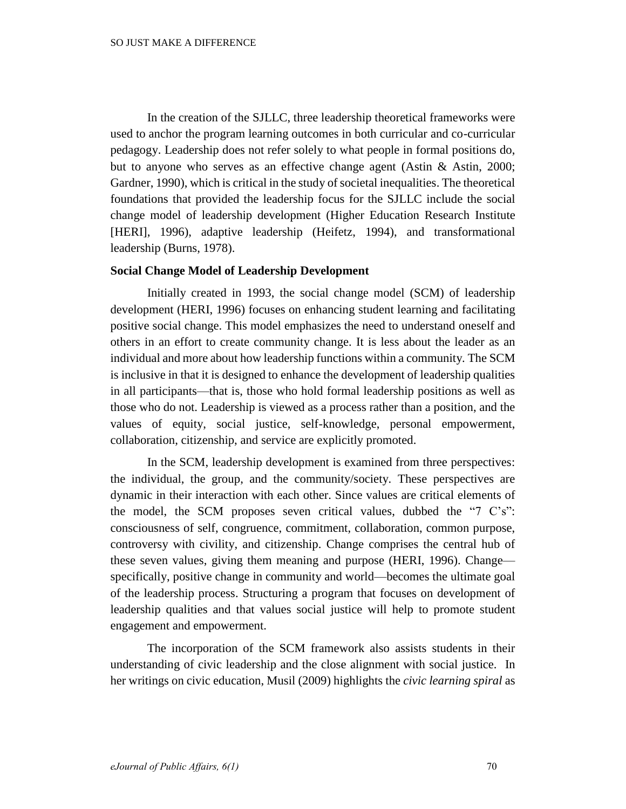In the creation of the SJLLC, three leadership theoretical frameworks were used to anchor the program learning outcomes in both curricular and co-curricular pedagogy. Leadership does not refer solely to what people in formal positions do, but to anyone who serves as an effective change agent (Astin & Astin, 2000; Gardner, 1990), which is critical in the study of societal inequalities. The theoretical foundations that provided the leadership focus for the SJLLC include the social change model of leadership development (Higher Education Research Institute [HERI], 1996), adaptive leadership (Heifetz, 1994), and transformational leadership (Burns, 1978).

## **Social Change Model of Leadership Development**

Initially created in 1993, the social change model (SCM) of leadership development (HERI, 1996) focuses on enhancing student learning and facilitating positive social change. This model emphasizes the need to understand oneself and others in an effort to create community change. It is less about the leader as an individual and more about how leadership functions within a community. The SCM is inclusive in that it is designed to enhance the development of leadership qualities in all participants—that is, those who hold formal leadership positions as well as those who do not. Leadership is viewed as a process rather than a position, and the values of equity, social justice, self-knowledge, personal empowerment, collaboration, citizenship, and service are explicitly promoted.

In the SCM, leadership development is examined from three perspectives: the individual, the group, and the community/society. These perspectives are dynamic in their interaction with each other. Since values are critical elements of the model, the SCM proposes seven critical values, dubbed the "7 C's": consciousness of self, congruence, commitment, collaboration, common purpose, controversy with civility, and citizenship. Change comprises the central hub of these seven values, giving them meaning and purpose (HERI, 1996). Change specifically, positive change in community and world—becomes the ultimate goal of the leadership process. Structuring a program that focuses on development of leadership qualities and that values social justice will help to promote student engagement and empowerment.

The incorporation of the SCM framework also assists students in their understanding of civic leadership and the close alignment with social justice. In her writings on civic education, Musil (2009) highlights the *civic learning spiral* as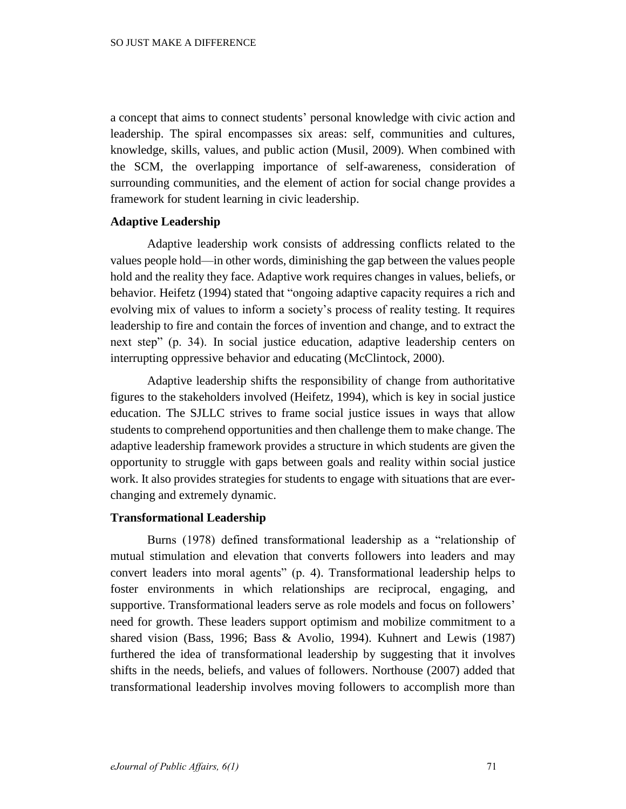a concept that aims to connect students' personal knowledge with civic action and leadership. The spiral encompasses six areas: self, communities and cultures, knowledge, skills, values, and public action (Musil, 2009). When combined with the SCM, the overlapping importance of self-awareness, consideration of surrounding communities, and the element of action for social change provides a framework for student learning in civic leadership.

## **Adaptive Leadership**

Adaptive leadership work consists of addressing conflicts related to the values people hold—in other words, diminishing the gap between the values people hold and the reality they face. Adaptive work requires changes in values, beliefs, or behavior. Heifetz (1994) stated that "ongoing adaptive capacity requires a rich and evolving mix of values to inform a society's process of reality testing. It requires leadership to fire and contain the forces of invention and change, and to extract the next step" (p. 34). In social justice education, adaptive leadership centers on interrupting oppressive behavior and educating (McClintock, 2000).

Adaptive leadership shifts the responsibility of change from authoritative figures to the stakeholders involved (Heifetz, 1994), which is key in social justice education. The SJLLC strives to frame social justice issues in ways that allow students to comprehend opportunities and then challenge them to make change. The adaptive leadership framework provides a structure in which students are given the opportunity to struggle with gaps between goals and reality within social justice work. It also provides strategies for students to engage with situations that are everchanging and extremely dynamic.

## **Transformational Leadership**

Burns (1978) defined transformational leadership as a "relationship of mutual stimulation and elevation that converts followers into leaders and may convert leaders into moral agents" (p. 4). Transformational leadership helps to foster environments in which relationships are reciprocal, engaging, and supportive. Transformational leaders serve as role models and focus on followers' need for growth. These leaders support optimism and mobilize commitment to a shared vision (Bass, 1996; Bass & Avolio, 1994). Kuhnert and Lewis (1987) furthered the idea of transformational leadership by suggesting that it involves shifts in the needs, beliefs, and values of followers. Northouse (2007) added that transformational leadership involves moving followers to accomplish more than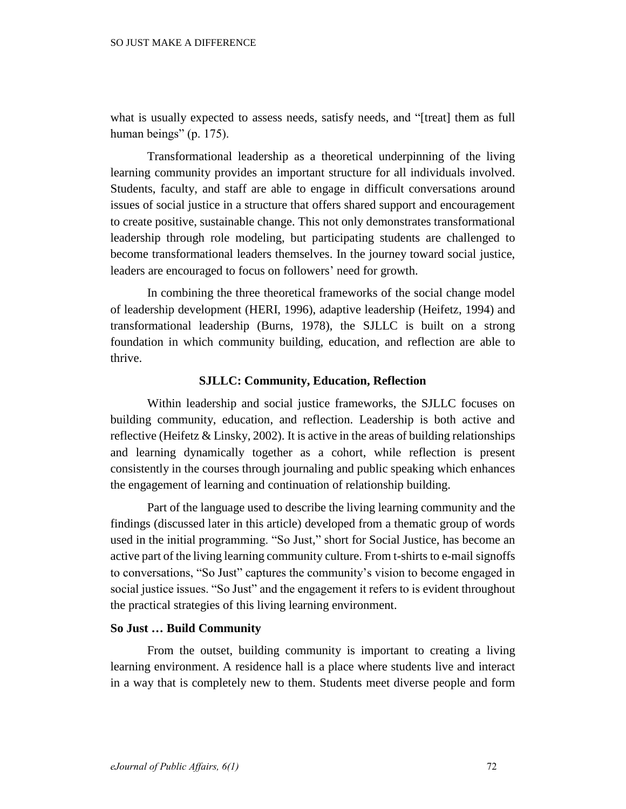what is usually expected to assess needs, satisfy needs, and "[treat] them as full human beings" (p. 175).

Transformational leadership as a theoretical underpinning of the living learning community provides an important structure for all individuals involved. Students, faculty, and staff are able to engage in difficult conversations around issues of social justice in a structure that offers shared support and encouragement to create positive, sustainable change. This not only demonstrates transformational leadership through role modeling, but participating students are challenged to become transformational leaders themselves. In the journey toward social justice, leaders are encouraged to focus on followers' need for growth.

In combining the three theoretical frameworks of the social change model of leadership development (HERI, 1996), adaptive leadership (Heifetz, 1994) and transformational leadership (Burns, 1978), the SJLLC is built on a strong foundation in which community building, education, and reflection are able to thrive.

## **SJLLC: Community, Education, Reflection**

Within leadership and social justice frameworks, the SJLLC focuses on building community, education, and reflection. Leadership is both active and reflective (Heifetz  $&$  Linsky, 2002). It is active in the areas of building relationships and learning dynamically together as a cohort, while reflection is present consistently in the courses through journaling and public speaking which enhances the engagement of learning and continuation of relationship building.

Part of the language used to describe the living learning community and the findings (discussed later in this article) developed from a thematic group of words used in the initial programming. "So Just," short for Social Justice, has become an active part of the living learning community culture. From t-shirts to e-mail signoffs to conversations, "So Just" captures the community's vision to become engaged in social justice issues. "So Just" and the engagement it refers to is evident throughout the practical strategies of this living learning environment.

#### **So Just … Build Community**

From the outset, building community is important to creating a living learning environment. A residence hall is a place where students live and interact in a way that is completely new to them. Students meet diverse people and form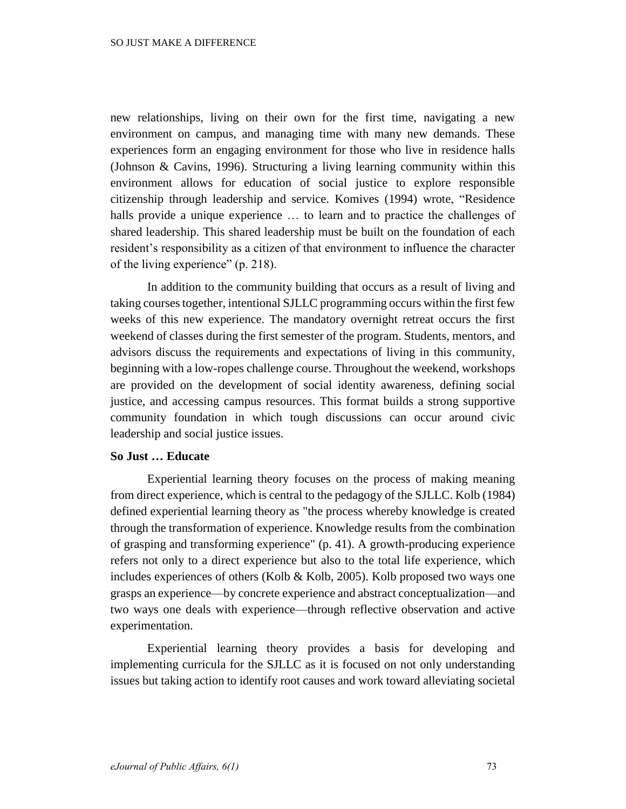new relationships, living on their own for the first time, navigating a new environment on campus, and managing time with many new demands. These experiences form an engaging environment for those who live in residence halls (Johnson & Cavins, 1996). Structuring a living learning community within this environment allows for education of social justice to explore responsible citizenship through leadership and service. Komives (1994) wrote, "Residence halls provide a unique experience ... to learn and to practice the challenges of shared leadership. This shared leadership must be built on the foundation of each resident's responsibility as a citizen of that environment to influence the character of the living experience" (p. 218).

In addition to the community building that occurs as a result of living and taking courses together, intentional SJLLC programming occurs within the first few weeks of this new experience. The mandatory overnight retreat occurs the first weekend of classes during the first semester of the program. Students, mentors, and advisors discuss the requirements and expectations of living in this community, beginning with a low-ropes challenge course. Throughout the weekend, workshops are provided on the development of social identity awareness, defining social justice, and accessing campus resources. This format builds a strong supportive community foundation in which tough discussions can occur around civic leadership and social justice issues.

## **So Just … Educate**

Experiential learning theory focuses on the process of making meaning from direct experience, which is central to the pedagogy of the SJLLC. Kolb (1984) defined experiential learning theory as "the process whereby knowledge is created through the transformation of experience. Knowledge results from the combination of grasping and transforming experience" (p. 41). A growth-producing experience refers not only to a direct experience but also to the total life experience, which includes experiences of others (Kolb & Kolb, 2005). Kolb proposed two ways one grasps an experience—by concrete experience and abstract conceptualization—and two ways one deals with experience—through reflective observation and active experimentation.

Experiential learning theory provides a basis for developing and implementing curricula for the SJLLC as it is focused on not only understanding issues but taking action to identify root causes and work toward alleviating societal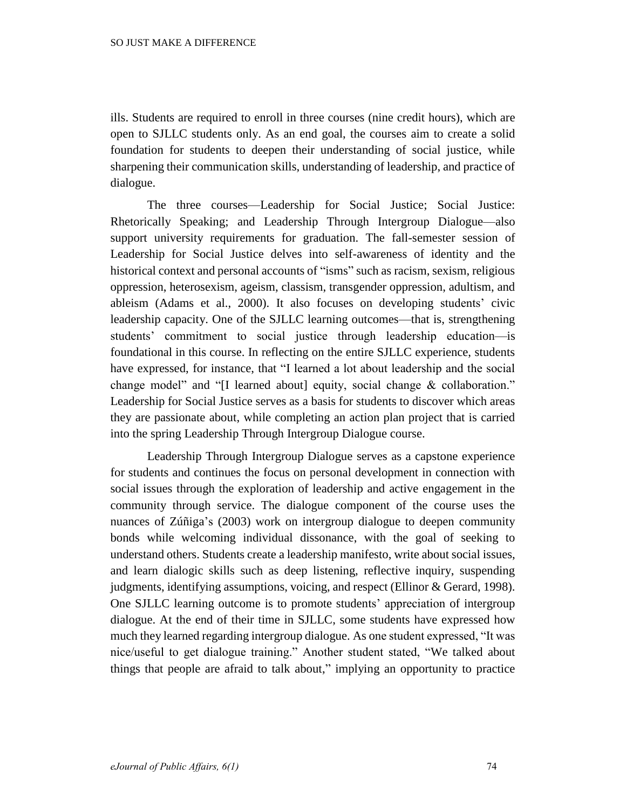ills. Students are required to enroll in three courses (nine credit hours), which are open to SJLLC students only. As an end goal, the courses aim to create a solid foundation for students to deepen their understanding of social justice, while sharpening their communication skills, understanding of leadership, and practice of dialogue.

The three courses—Leadership for Social Justice; Social Justice: Rhetorically Speaking; and Leadership Through Intergroup Dialogue—also support university requirements for graduation. The fall-semester session of Leadership for Social Justice delves into self-awareness of identity and the historical context and personal accounts of "isms" such as racism, sexism, religious oppression, heterosexism, ageism, classism, transgender oppression, adultism, and ableism (Adams et al., 2000). It also focuses on developing students' civic leadership capacity. One of the SJLLC learning outcomes—that is, strengthening students' commitment to social justice through leadership education—is foundational in this course. In reflecting on the entire SJLLC experience, students have expressed, for instance, that "I learned a lot about leadership and the social change model" and "[I learned about] equity, social change & collaboration." Leadership for Social Justice serves as a basis for students to discover which areas they are passionate about, while completing an action plan project that is carried into the spring Leadership Through Intergroup Dialogue course.

Leadership Through Intergroup Dialogue serves as a capstone experience for students and continues the focus on personal development in connection with social issues through the exploration of leadership and active engagement in the community through service. The dialogue component of the course uses the nuances of Zúñiga's (2003) work on intergroup dialogue to deepen community bonds while welcoming individual dissonance, with the goal of seeking to understand others. Students create a leadership manifesto, write about social issues, and learn dialogic skills such as deep listening, reflective inquiry, suspending judgments, identifying assumptions, voicing, and respect (Ellinor & Gerard, 1998). One SJLLC learning outcome is to promote students' appreciation of intergroup dialogue. At the end of their time in SJLLC, some students have expressed how much they learned regarding intergroup dialogue. As one student expressed, "It was nice/useful to get dialogue training." Another student stated, "We talked about things that people are afraid to talk about," implying an opportunity to practice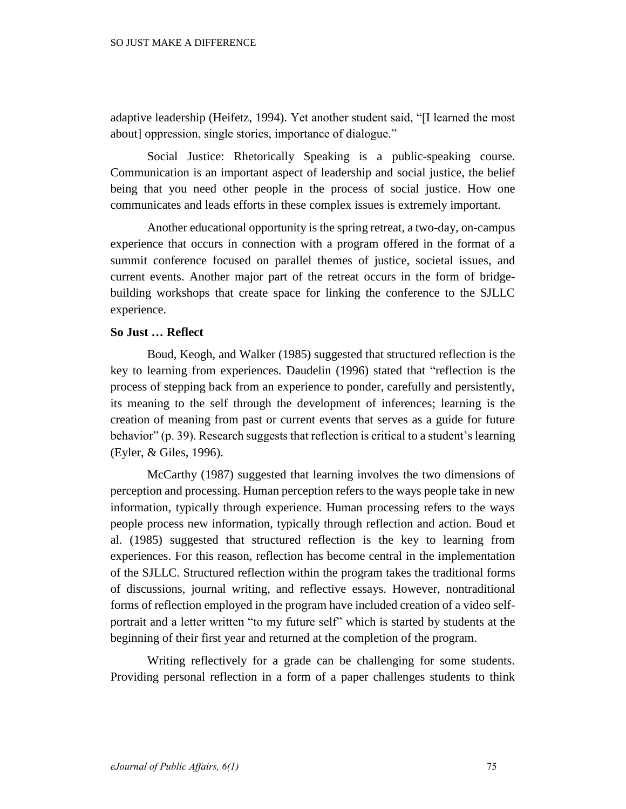adaptive leadership (Heifetz, 1994). Yet another student said, "[I learned the most about] oppression, single stories, importance of dialogue."

Social Justice: Rhetorically Speaking is a public-speaking course. Communication is an important aspect of leadership and social justice, the belief being that you need other people in the process of social justice. How one communicates and leads efforts in these complex issues is extremely important.

Another educational opportunity is the spring retreat, a two-day, on-campus experience that occurs in connection with a program offered in the format of a summit conference focused on parallel themes of justice, societal issues, and current events. Another major part of the retreat occurs in the form of bridgebuilding workshops that create space for linking the conference to the SJLLC experience.

## **So Just … Reflect**

Boud, Keogh, and Walker (1985) suggested that structured reflection is the key to learning from experiences. Daudelin (1996) stated that "reflection is the process of stepping back from an experience to ponder, carefully and persistently, its meaning to the self through the development of inferences; learning is the creation of meaning from past or current events that serves as a guide for future behavior" (p. 39). Research suggests that reflection is critical to a student's learning (Eyler, & Giles, 1996).

McCarthy (1987) suggested that learning involves the two dimensions of perception and processing. Human perception refers to the ways people take in new information, typically through experience. Human processing refers to the ways people process new information, typically through reflection and action. Boud et al. (1985) suggested that structured reflection is the key to learning from experiences. For this reason, reflection has become central in the implementation of the SJLLC. Structured reflection within the program takes the traditional forms of discussions, journal writing, and reflective essays. However, nontraditional forms of reflection employed in the program have included creation of a video selfportrait and a letter written "to my future self" which is started by students at the beginning of their first year and returned at the completion of the program.

Writing reflectively for a grade can be challenging for some students. Providing personal reflection in a form of a paper challenges students to think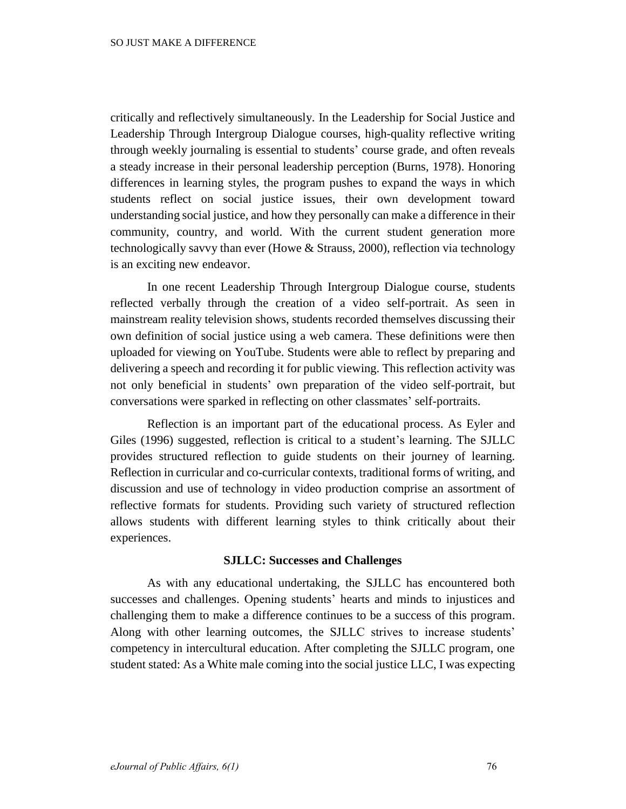critically and reflectively simultaneously. In the Leadership for Social Justice and Leadership Through Intergroup Dialogue courses, high-quality reflective writing through weekly journaling is essential to students' course grade, and often reveals a steady increase in their personal leadership perception (Burns, 1978). Honoring differences in learning styles, the program pushes to expand the ways in which students reflect on social justice issues, their own development toward understanding social justice, and how they personally can make a difference in their community, country, and world. With the current student generation more technologically savvy than ever (Howe & Strauss, 2000), reflection via technology is an exciting new endeavor.

In one recent Leadership Through Intergroup Dialogue course, students reflected verbally through the creation of a video self-portrait. As seen in mainstream reality television shows, students recorded themselves discussing their own definition of social justice using a web camera. These definitions were then uploaded for viewing on YouTube. Students were able to reflect by preparing and delivering a speech and recording it for public viewing. This reflection activity was not only beneficial in students' own preparation of the video self-portrait, but conversations were sparked in reflecting on other classmates' self-portraits.

Reflection is an important part of the educational process. As Eyler and Giles (1996) suggested, reflection is critical to a student's learning. The SJLLC provides structured reflection to guide students on their journey of learning. Reflection in curricular and co-curricular contexts, traditional forms of writing, and discussion and use of technology in video production comprise an assortment of reflective formats for students. Providing such variety of structured reflection allows students with different learning styles to think critically about their experiences.

## **SJLLC: Successes and Challenges**

As with any educational undertaking, the SJLLC has encountered both successes and challenges. Opening students' hearts and minds to injustices and challenging them to make a difference continues to be a success of this program. Along with other learning outcomes, the SJLLC strives to increase students' competency in intercultural education. After completing the SJLLC program, one student stated: As a White male coming into the social justice LLC, I was expecting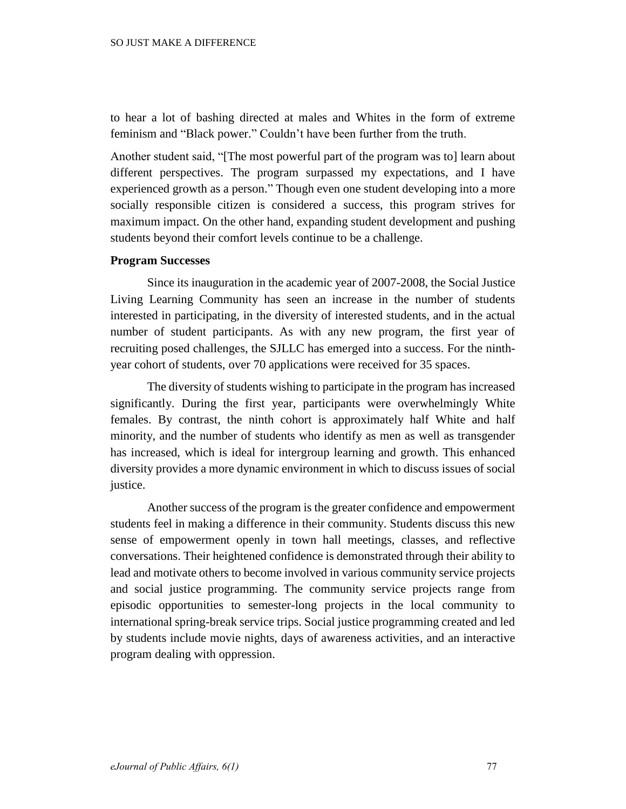to hear a lot of bashing directed at males and Whites in the form of extreme feminism and "Black power." Couldn't have been further from the truth.

Another student said, "[The most powerful part of the program was to] learn about different perspectives. The program surpassed my expectations, and I have experienced growth as a person." Though even one student developing into a more socially responsible citizen is considered a success, this program strives for maximum impact. On the other hand, expanding student development and pushing students beyond their comfort levels continue to be a challenge.

# **Program Successes**

Since its inauguration in the academic year of 2007-2008, the Social Justice Living Learning Community has seen an increase in the number of students interested in participating, in the diversity of interested students, and in the actual number of student participants. As with any new program, the first year of recruiting posed challenges, the SJLLC has emerged into a success. For the ninthyear cohort of students, over 70 applications were received for 35 spaces.

The diversity of students wishing to participate in the program has increased significantly. During the first year, participants were overwhelmingly White females. By contrast, the ninth cohort is approximately half White and half minority, and the number of students who identify as men as well as transgender has increased, which is ideal for intergroup learning and growth. This enhanced diversity provides a more dynamic environment in which to discuss issues of social justice.

Another success of the program is the greater confidence and empowerment students feel in making a difference in their community. Students discuss this new sense of empowerment openly in town hall meetings, classes, and reflective conversations. Their heightened confidence is demonstrated through their ability to lead and motivate others to become involved in various community service projects and social justice programming. The community service projects range from episodic opportunities to semester-long projects in the local community to international spring-break service trips. Social justice programming created and led by students include movie nights, days of awareness activities, and an interactive program dealing with oppression.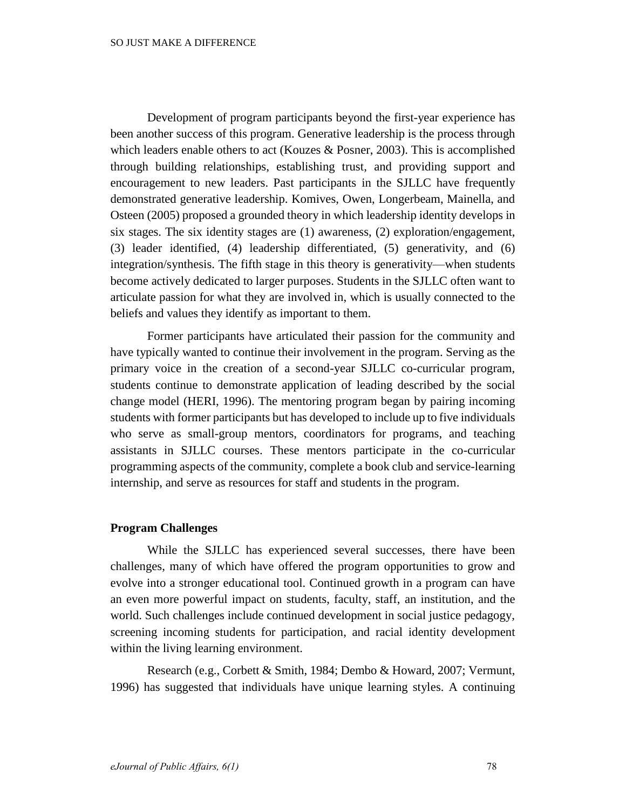Development of program participants beyond the first-year experience has been another success of this program. Generative leadership is the process through which leaders enable others to act (Kouzes & Posner, 2003). This is accomplished through building relationships, establishing trust, and providing support and encouragement to new leaders. Past participants in the SJLLC have frequently demonstrated generative leadership. Komives, Owen, Longerbeam, Mainella, and Osteen (2005) proposed a grounded theory in which leadership identity develops in six stages. The six identity stages are (1) awareness, (2) exploration/engagement, (3) leader identified, (4) leadership differentiated, (5) generativity, and (6) integration/synthesis. The fifth stage in this theory is generativity—when students become actively dedicated to larger purposes. Students in the SJLLC often want to articulate passion for what they are involved in, which is usually connected to the beliefs and values they identify as important to them.

Former participants have articulated their passion for the community and have typically wanted to continue their involvement in the program. Serving as the primary voice in the creation of a second-year SJLLC co-curricular program, students continue to demonstrate application of leading described by the social change model (HERI, 1996). The mentoring program began by pairing incoming students with former participants but has developed to include up to five individuals who serve as small-group mentors, coordinators for programs, and teaching assistants in SJLLC courses. These mentors participate in the co-curricular programming aspects of the community, complete a book club and service-learning internship, and serve as resources for staff and students in the program.

## **Program Challenges**

While the SJLLC has experienced several successes, there have been challenges, many of which have offered the program opportunities to grow and evolve into a stronger educational tool. Continued growth in a program can have an even more powerful impact on students, faculty, staff, an institution, and the world. Such challenges include continued development in social justice pedagogy, screening incoming students for participation, and racial identity development within the living learning environment.

Research (e.g., Corbett & Smith, 1984; Dembo & Howard, 2007; Vermunt, 1996) has suggested that individuals have unique learning styles. A continuing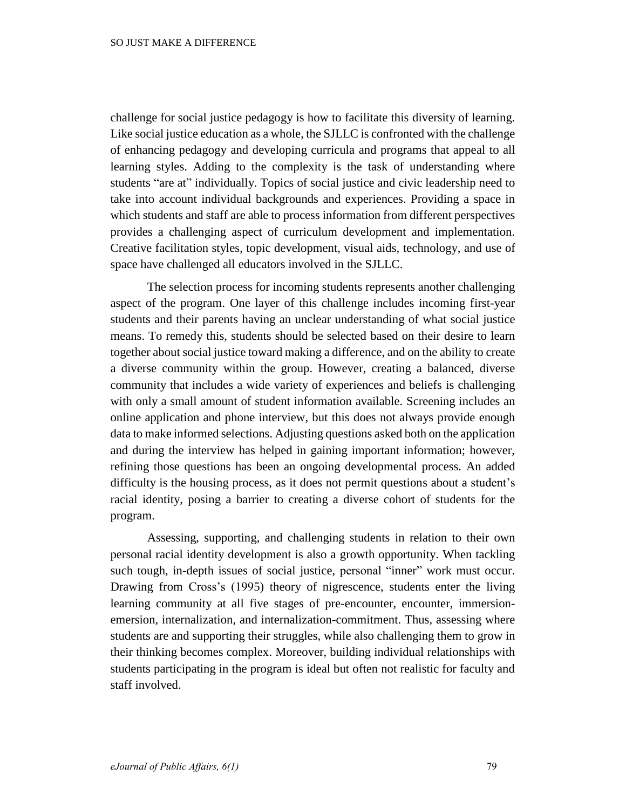challenge for social justice pedagogy is how to facilitate this diversity of learning. Like social justice education as a whole, the SJLLC is confronted with the challenge of enhancing pedagogy and developing curricula and programs that appeal to all learning styles. Adding to the complexity is the task of understanding where students "are at" individually. Topics of social justice and civic leadership need to take into account individual backgrounds and experiences. Providing a space in which students and staff are able to process information from different perspectives provides a challenging aspect of curriculum development and implementation. Creative facilitation styles, topic development, visual aids, technology, and use of space have challenged all educators involved in the SJLLC.

The selection process for incoming students represents another challenging aspect of the program. One layer of this challenge includes incoming first-year students and their parents having an unclear understanding of what social justice means. To remedy this, students should be selected based on their desire to learn together about social justice toward making a difference, and on the ability to create a diverse community within the group. However, creating a balanced, diverse community that includes a wide variety of experiences and beliefs is challenging with only a small amount of student information available. Screening includes an online application and phone interview, but this does not always provide enough data to make informed selections. Adjusting questions asked both on the application and during the interview has helped in gaining important information; however, refining those questions has been an ongoing developmental process. An added difficulty is the housing process, as it does not permit questions about a student's racial identity, posing a barrier to creating a diverse cohort of students for the program.

Assessing, supporting, and challenging students in relation to their own personal racial identity development is also a growth opportunity. When tackling such tough, in-depth issues of social justice, personal "inner" work must occur. Drawing from Cross's (1995) theory of nigrescence, students enter the living learning community at all five stages of pre-encounter, encounter, immersionemersion, internalization, and internalization-commitment. Thus, assessing where students are and supporting their struggles, while also challenging them to grow in their thinking becomes complex. Moreover, building individual relationships with students participating in the program is ideal but often not realistic for faculty and staff involved.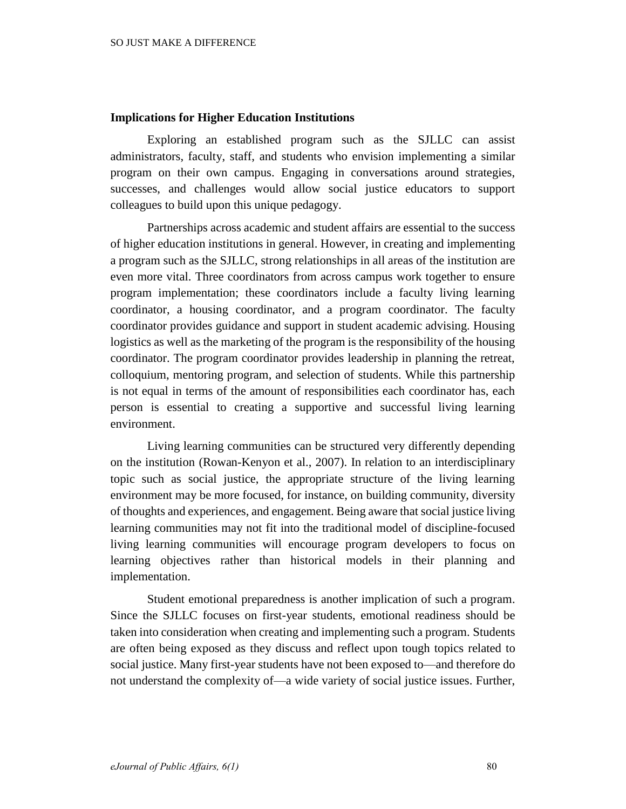# **Implications for Higher Education Institutions**

Exploring an established program such as the SJLLC can assist administrators, faculty, staff, and students who envision implementing a similar program on their own campus. Engaging in conversations around strategies, successes, and challenges would allow social justice educators to support colleagues to build upon this unique pedagogy.

Partnerships across academic and student affairs are essential to the success of higher education institutions in general. However, in creating and implementing a program such as the SJLLC, strong relationships in all areas of the institution are even more vital. Three coordinators from across campus work together to ensure program implementation; these coordinators include a faculty living learning coordinator, a housing coordinator, and a program coordinator. The faculty coordinator provides guidance and support in student academic advising. Housing logistics as well as the marketing of the program is the responsibility of the housing coordinator. The program coordinator provides leadership in planning the retreat, colloquium, mentoring program, and selection of students. While this partnership is not equal in terms of the amount of responsibilities each coordinator has, each person is essential to creating a supportive and successful living learning environment.

Living learning communities can be structured very differently depending on the institution (Rowan-Kenyon et al., 2007). In relation to an interdisciplinary topic such as social justice, the appropriate structure of the living learning environment may be more focused, for instance, on building community, diversity of thoughts and experiences, and engagement. Being aware that social justice living learning communities may not fit into the traditional model of discipline-focused living learning communities will encourage program developers to focus on learning objectives rather than historical models in their planning and implementation.

Student emotional preparedness is another implication of such a program. Since the SJLLC focuses on first-year students, emotional readiness should be taken into consideration when creating and implementing such a program. Students are often being exposed as they discuss and reflect upon tough topics related to social justice. Many first-year students have not been exposed to—and therefore do not understand the complexity of—a wide variety of social justice issues. Further,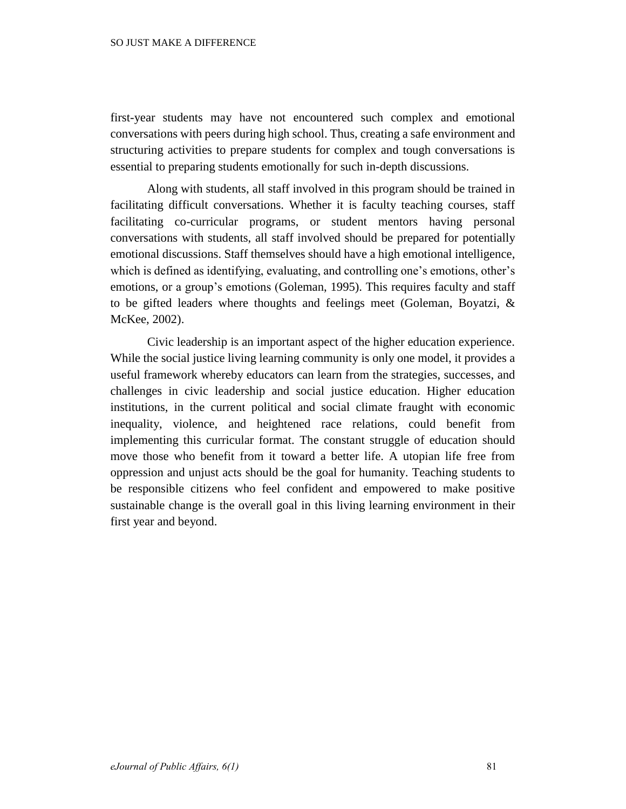first-year students may have not encountered such complex and emotional conversations with peers during high school. Thus, creating a safe environment and structuring activities to prepare students for complex and tough conversations is essential to preparing students emotionally for such in-depth discussions.

Along with students, all staff involved in this program should be trained in facilitating difficult conversations. Whether it is faculty teaching courses, staff facilitating co-curricular programs, or student mentors having personal conversations with students, all staff involved should be prepared for potentially emotional discussions. Staff themselves should have a high emotional intelligence, which is defined as identifying, evaluating, and controlling one's emotions, other's emotions, or a group's emotions (Goleman, 1995). This requires faculty and staff to be gifted leaders where thoughts and feelings meet (Goleman, Boyatzi, & McKee, 2002).

Civic leadership is an important aspect of the higher education experience. While the social justice living learning community is only one model, it provides a useful framework whereby educators can learn from the strategies, successes, and challenges in civic leadership and social justice education. Higher education institutions, in the current political and social climate fraught with economic inequality, violence, and heightened race relations, could benefit from implementing this curricular format. The constant struggle of education should move those who benefit from it toward a better life. A utopian life free from oppression and unjust acts should be the goal for humanity. Teaching students to be responsible citizens who feel confident and empowered to make positive sustainable change is the overall goal in this living learning environment in their first year and beyond.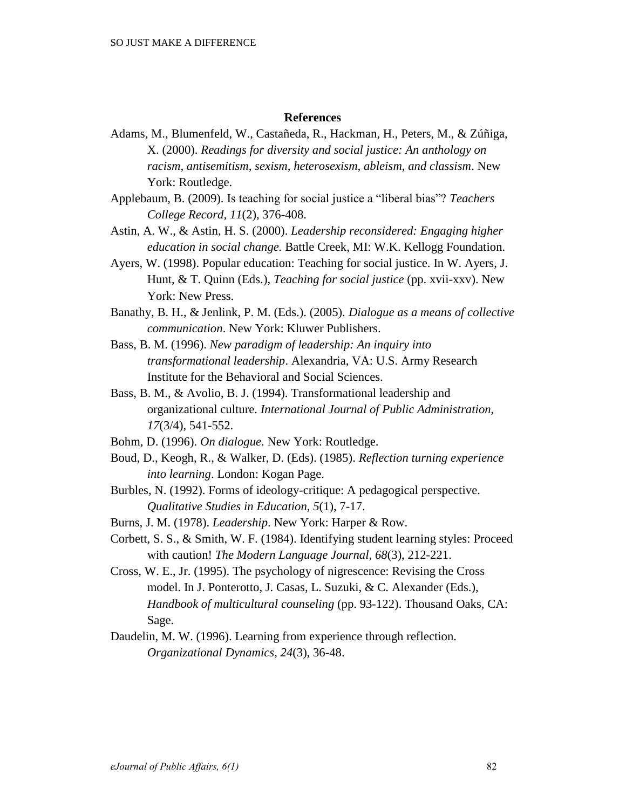## **References**

- Adams, M., Blumenfeld, W., Castañeda, R., Hackman, H., Peters, M., & Zúñiga, X. (2000). *Readings for diversity and social justice: An anthology on racism, antisemitism, sexism, heterosexism, ableism, and classism*. New York: Routledge.
- Applebaum, B. (2009). Is teaching for social justice a "liberal bias"? *Teachers College Record, 11*(2), 376-408.
- Astin, A. W., & Astin, H. S. (2000). *Leadership reconsidered: Engaging higher education in social change.* Battle Creek, MI: W.K. Kellogg Foundation.
- Ayers, W. (1998). Popular education: Teaching for social justice. In W. Ayers, J. Hunt, & T. Quinn (Eds.), *Teaching for social justice* (pp. xvii-xxv). New York: New Press.
- Banathy, B. H., & Jenlink, P. M. (Eds.). (2005). *Dialogue as a means of collective communication*. New York: Kluwer Publishers.
- Bass, B. M. (1996). *New paradigm of leadership: An inquiry into transformational leadership*. Alexandria, VA: U.S. Army Research Institute for the Behavioral and Social Sciences.
- Bass, B. M., & Avolio, B. J. (1994). Transformational leadership and organizational culture. *International Journal of Public Administration, 17*(3/4), 541-552.
- Bohm, D. (1996). *On dialogue*. New York: Routledge.
- Boud, D., Keogh, R., & Walker, D. (Eds). (1985). *Reflection turning experience into learning*. London: Kogan Page.
- Burbles, N. (1992). Forms of ideology-critique: A pedagogical perspective. *Qualitative Studies in Education, 5*(1), 7-17.
- Burns, J. M. (1978). *Leadership*. New York: Harper & Row.
- Corbett, S. S., & Smith, W. F. (1984). Identifying student learning styles: Proceed with caution! *The Modern Language Journal, 68*(3), 212-221.
- Cross, W. E., Jr. (1995). The psychology of nigrescence: Revising the Cross model. In J. Ponterotto, J. Casas, L. Suzuki, & C. Alexander (Eds.), *Handbook of multicultural counseling* (pp. 93-122). Thousand Oaks, CA: Sage.
- Daudelin, M. W. (1996). Learning from experience through reflection. *Organizational Dynamics, 24*(3), 36-48.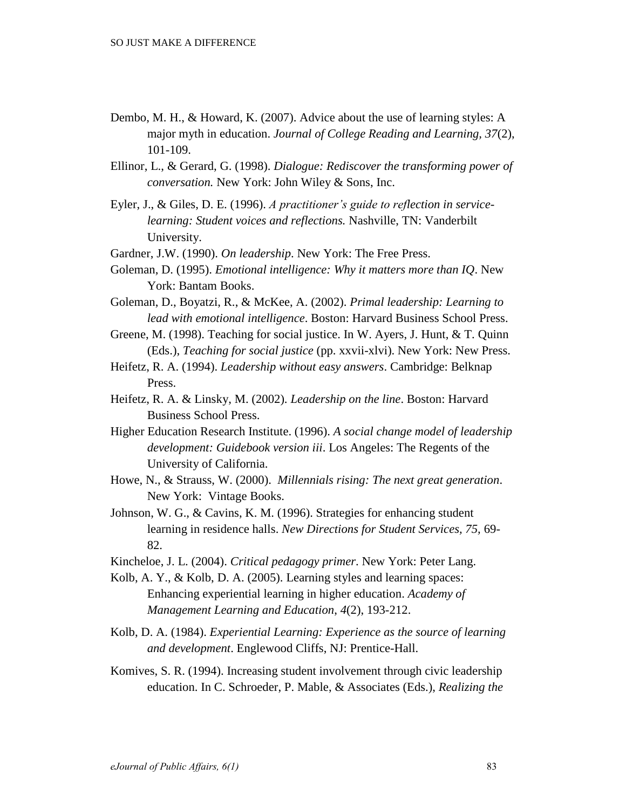- Dembo, M. H., & Howard, K. (2007). Advice about the use of learning styles: A major myth in education. *Journal of College Reading and Learning, 37*(2), 101-109.
- Ellinor, L., & Gerard, G. (1998). *Dialogue: Rediscover the transforming power of conversation.* New York: John Wiley & Sons, Inc.
- Eyler, J., & Giles, D. E. (1996). *A practitioner's guide to reflection in servicelearning: Student voices and reflections.* Nashville, TN: Vanderbilt University.
- Gardner, J.W. (1990). *On leadership*. New York: The Free Press.
- Goleman, D. (1995). *Emotional intelligence: Why it matters more than IQ*. New York: Bantam Books.
- Goleman, D., Boyatzi, R., & McKee, A. (2002). *Primal leadership: Learning to lead with emotional intelligence*. Boston: Harvard Business School Press.
- Greene, M. (1998). Teaching for social justice. In W. Ayers, J. Hunt, & T. Quinn (Eds.), *Teaching for social justice* (pp. xxvii-xlvi). New York: New Press.
- Heifetz, R. A. (1994). *Leadership without easy answers*. Cambridge: Belknap Press.
- Heifetz, R. A. & Linsky, M. (2002). *Leadership on the line*. Boston: Harvard Business School Press.
- Higher Education Research Institute. (1996). *A social change model of leadership development: Guidebook version iii*. Los Angeles: The Regents of the University of California.
- Howe, N., & Strauss, W. (2000). *Millennials rising: The next great generation*. New York: Vintage Books.
- Johnson, W. G., & Cavins, K. M. (1996). Strategies for enhancing student learning in residence halls. *New Directions for Student Services, 75,* 69- 82.
- Kincheloe, J. L. (2004). *Critical pedagogy primer*. New York: Peter Lang.
- Kolb, A. Y., & Kolb, D. A. (2005). Learning styles and learning spaces: Enhancing experiential learning in higher education. *Academy of Management Learning and Education*, *4*(2), 193-212.
- Kolb, D. A. (1984). *Experiential Learning: Experience as the source of learning and development*. Englewood Cliffs, NJ: Prentice-Hall.
- Komives, S. R. (1994). Increasing student involvement through civic leadership education. In C. Schroeder, P. Mable, & Associates (Eds.), *Realizing the*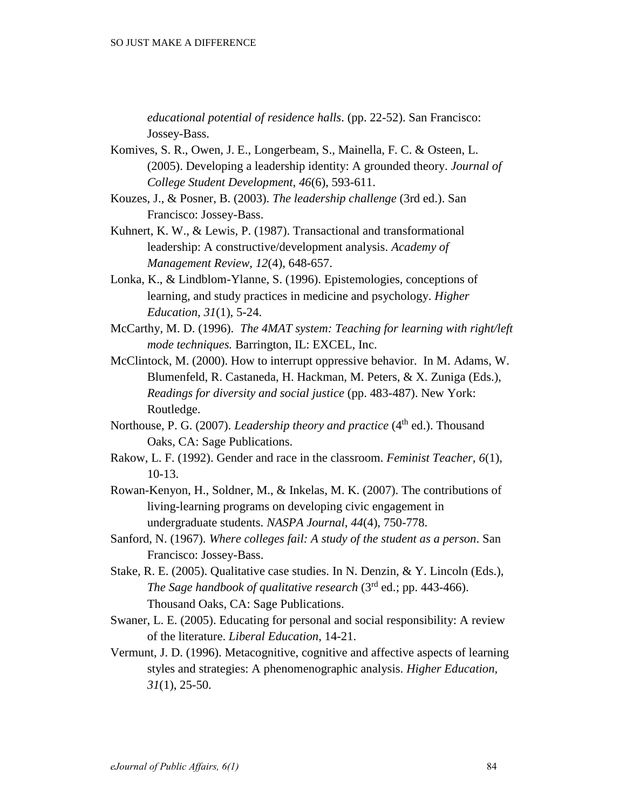*educational potential of residence halls*. (pp. 22-52). San Francisco: Jossey-Bass.

- Komives, S. R., Owen, J. E., Longerbeam, S., Mainella, F. C. & Osteen, L. (2005). Developing a leadership identity: A grounded theory. *Journal of College Student Development, 46*(6), 593-611.
- Kouzes, J., & Posner, B. (2003). *The leadership challenge* (3rd ed.). San Francisco: Jossey-Bass.
- Kuhnert, K. W., & Lewis, P. (1987). Transactional and transformational leadership: A constructive/development analysis. *Academy of Management Review, 12*(4), 648-657.
- Lonka, K., & Lindblom-Ylanne, S. (1996). Epistemologies, conceptions of learning, and study practices in medicine and psychology. *Higher Education, 31*(1), 5-24.
- McCarthy, M. D. (1996). *The 4MAT system: Teaching for learning with right/left mode techniques.* Barrington, IL: EXCEL, Inc.
- McClintock, M. (2000). How to interrupt oppressive behavior. In M. Adams, W. Blumenfeld, R. Castaneda, H. Hackman, M. Peters, & X. Zuniga (Eds.), *Readings for diversity and social justice* (pp. 483-487). New York: Routledge.
- Northouse, P. G. (2007). *Leadership theory and practice* (4<sup>th</sup> ed.). Thousand Oaks, CA: Sage Publications.
- Rakow, L. F. (1992). Gender and race in the classroom. *Feminist Teacher, 6*(1), 10-13.
- Rowan-Kenyon, H., Soldner, M., & Inkelas, M. K. (2007). The contributions of living-learning programs on developing civic engagement in undergraduate students. *NASPA Journal, 44*(4), 750-778.
- Sanford, N. (1967). *Where colleges fail: A study of the student as a person*. San Francisco: Jossey-Bass.
- Stake, R. E. (2005). Qualitative case studies. In N. Denzin, & Y. Lincoln (Eds.), *The Sage handbook of qualitative research* (3rd ed.; pp. 443-466). Thousand Oaks, CA: Sage Publications.
- Swaner, L. E. (2005). Educating for personal and social responsibility: A review of the literature. *Liberal Education*, 14-21.
- Vermunt, J. D. (1996). Metacognitive, cognitive and affective aspects of learning styles and strategies: A phenomenographic analysis. *Higher Education, 31*(1), 25-50.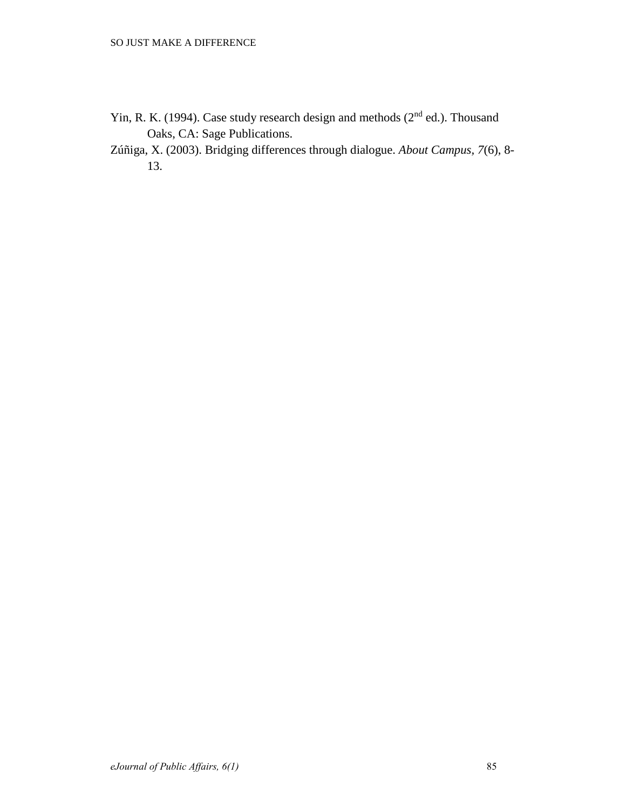- Yin, R. K. (1994). Case study research design and methods (2<sup>nd</sup> ed.). Thousand Oaks, CA: Sage Publications.
- Zúñiga, X. (2003). Bridging differences through dialogue. *About Campus, 7*(6), 8- 13.